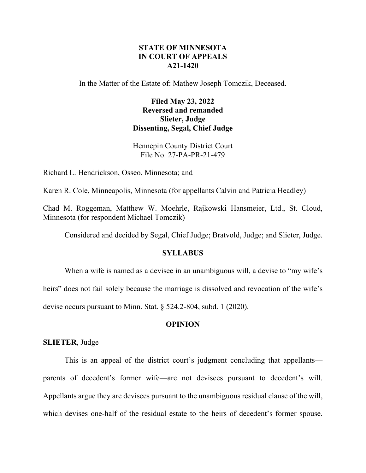# **STATE OF MINNESOTA IN COURT OF APPEALS A21-1420**

In the Matter of the Estate of: Mathew Joseph Tomczik, Deceased.

# **Filed May 23, 2022 Reversed and remanded Slieter, Judge Dissenting, Segal, Chief Judge**

Hennepin County District Court File No. 27-PA-PR-21-479

Richard L. Hendrickson, Osseo, Minnesota; and

Karen R. Cole, Minneapolis, Minnesota (for appellants Calvin and Patricia Headley)

Chad M. Roggeman, Matthew W. Moehrle, Rajkowski Hansmeier, Ltd., St. Cloud, Minnesota (for respondent Michael Tomczik)

Considered and decided by Segal, Chief Judge; Bratvold, Judge; and Slieter, Judge.

# **SYLLABUS**

When a wife is named as a devisee in an unambiguous will, a devise to "my wife's heirs" does not fail solely because the marriage is dissolved and revocation of the wife's devise occurs pursuant to Minn. Stat. § 524.2-804, subd. 1 (2020).

### **OPINION**

**SLIETER**, Judge

This is an appeal of the district court's judgment concluding that appellants parents of decedent's former wife—are not devisees pursuant to decedent's will. Appellants argue they are devisees pursuant to the unambiguous residual clause of the will, which devises one-half of the residual estate to the heirs of decedent's former spouse.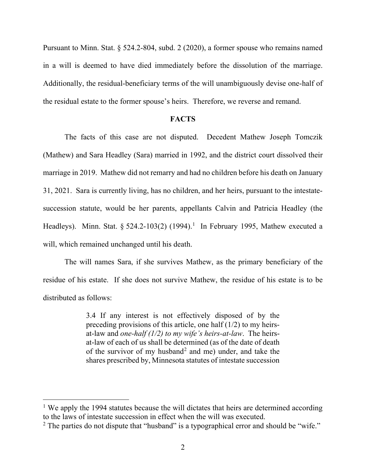Pursuant to Minn. Stat. § 524.2-804, subd. 2 (2020), a former spouse who remains named in a will is deemed to have died immediately before the dissolution of the marriage. Additionally, the residual-beneficiary terms of the will unambiguously devise one-half of the residual estate to the former spouse's heirs. Therefore, we reverse and remand.

#### **FACTS**

The facts of this case are not disputed. Decedent Mathew Joseph Tomczik (Mathew) and Sara Headley (Sara) married in 1992, and the district court dissolved their marriage in 2019. Mathew did not remarry and had no children before his death on January 31, 2021. Sara is currently living, has no children, and her heirs, pursuant to the intestatesuccession statute, would be her parents, appellants Calvin and Patricia Headley (the Headleys). Minn. Stat.  $\S 524.2 - 103(2)$  $\S 524.2 - 103(2)$  $\S 524.2 - 103(2)$  (1994).<sup>1</sup> In February 1995, Mathew executed a will, which remained unchanged until his death.

The will names Sara, if she survives Mathew, as the primary beneficiary of the residue of his estate. If she does not survive Mathew, the residue of his estate is to be distributed as follows:

> 3.4 If any interest is not effectively disposed of by the preceding provisions of this article, one half (1/2) to my heirsat-law and *one-half (1/2) to my wife's heirs-at-law*. The heirsat-law of each of us shall be determined (as of the date of death of the survivor of my husband<sup>[2](#page-1-1)</sup> and me) under, and take the shares prescribed by, Minnesota statutes of intestate succession

<span id="page-1-0"></span><sup>&</sup>lt;sup>1</sup> We apply the 1994 statutes because the will dictates that heirs are determined according to the laws of intestate succession in effect when the will was executed.

<span id="page-1-1"></span> $2$  The parties do not dispute that "husband" is a typographical error and should be "wife."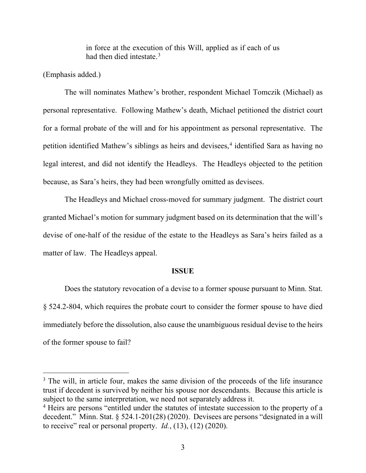in force at the execution of this Will, applied as if each of us had then died intestate.<sup>[3](#page-2-0)</sup>

(Emphasis added.)

The will nominates Mathew's brother, respondent Michael Tomczik (Michael) as personal representative. Following Mathew's death, Michael petitioned the district court for a formal probate of the will and for his appointment as personal representative. The petition identified Mathew's siblings as heirs and devisees,<sup>[4](#page-2-1)</sup> identified Sara as having no legal interest, and did not identify the Headleys. The Headleys objected to the petition because, as Sara's heirs, they had been wrongfully omitted as devisees.

The Headleys and Michael cross-moved for summary judgment. The district court granted Michael's motion for summary judgment based on its determination that the will's devise of one-half of the residue of the estate to the Headleys as Sara's heirs failed as a matter of law. The Headleys appeal.

#### **ISSUE**

Does the statutory revocation of a devise to a former spouse pursuant to Minn. Stat. § 524.2-804, which requires the probate court to consider the former spouse to have died immediately before the dissolution, also cause the unambiguous residual devise to the heirs of the former spouse to fail?

<span id="page-2-0"></span><sup>&</sup>lt;sup>3</sup> The will, in article four, makes the same division of the proceeds of the life insurance trust if decedent is survived by neither his spouse nor descendants. Because this article is subject to the same interpretation, we need not separately address it.

<span id="page-2-1"></span><sup>&</sup>lt;sup>4</sup> Heirs are persons "entitled under the statutes of intestate succession to the property of a decedent." Minn. Stat. § 524.1-201(28) (2020). Devisees are persons "designated in a will to receive" real or personal property. *Id.*, (13), (12) (2020).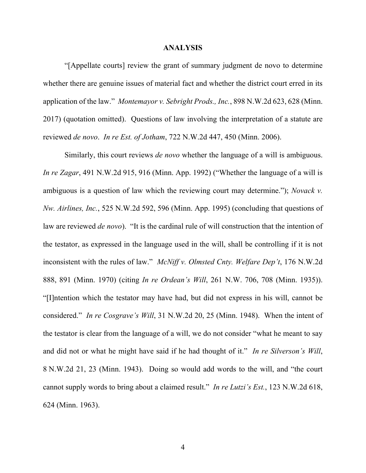#### **ANALYSIS**

"[Appellate courts] review the grant of summary judgment de novo to determine whether there are genuine issues of material fact and whether the district court erred in its application of the law." *Montemayor v. Sebright Prods., Inc.*, 898 N.W.2d 623, 628 (Minn. 2017) (quotation omitted). Questions of law involving the interpretation of a statute are reviewed *de novo*. *In re Est. of Jotham*, 722 N.W.2d 447, 450 (Minn. 2006).

Similarly, this court reviews *de novo* whether the language of a will is ambiguous. *In re Zagar*, 491 N.W.2d 915, 916 (Minn. App. 1992) ("Whether the language of a will is ambiguous is a question of law which the reviewing court may determine."); *Novack v. Nw. Airlines, Inc.*, 525 N.W.2d 592, 596 (Minn. App. 1995) (concluding that questions of law are reviewed *de novo*). "It is the cardinal rule of will construction that the intention of the testator, as expressed in the language used in the will, shall be controlling if it is not inconsistent with the rules of law." *McNiff v. Olmsted Cnty. Welfare Dep't*, 176 N.W.2d 888, 891 (Minn. 1970) (citing *In re Ordean's Will*, 261 N.W. 706, 708 (Minn. 1935)). "[I]ntention which the testator may have had, but did not express in his will, cannot be considered." *In re Cosgrave's Will*, 31 N.W.2d 20, 25 (Minn. 1948). When the intent of the testator is clear from the language of a will, we do not consider "what he meant to say and did not or what he might have said if he had thought of it." *In re Silverson's Will*, 8 N.W.2d 21, 23 (Minn. 1943). Doing so would add words to the will, and "the court cannot supply words to bring about a claimed result." *In re Lutzi's Est.*, 123 N.W.2d 618, 624 (Minn. 1963).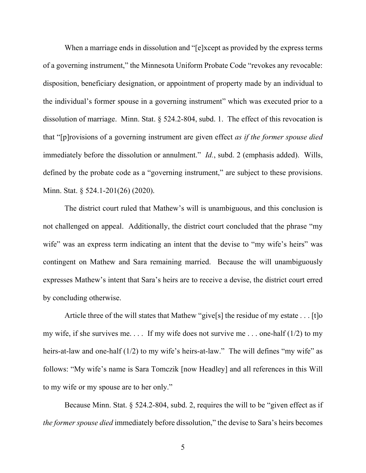When a marriage ends in dissolution and "[e]xcept as provided by the express terms of a governing instrument," the Minnesota Uniform Probate Code "revokes any revocable: disposition, beneficiary designation, or appointment of property made by an individual to the individual's former spouse in a governing instrument" which was executed prior to a dissolution of marriage. Minn. Stat. § 524.2-804, subd. 1. The effect of this revocation is that "[p]rovisions of a governing instrument are given effect *as if the former spouse died* immediately before the dissolution or annulment." *Id.*, subd. 2 (emphasis added). Wills, defined by the probate code as a "governing instrument," are subject to these provisions. Minn. Stat. § 524.1-201(26) (2020).

The district court ruled that Mathew's will is unambiguous, and this conclusion is not challenged on appeal. Additionally, the district court concluded that the phrase "my wife" was an express term indicating an intent that the devise to "my wife's heirs" was contingent on Mathew and Sara remaining married. Because the will unambiguously expresses Mathew's intent that Sara's heirs are to receive a devise, the district court erred by concluding otherwise.

Article three of the will states that Mathew "give[s] the residue of my estate . . . [t]o my wife, if she survives me.... If my wife does not survive me... one-half  $(1/2)$  to my heirs-at-law and one-half (1/2) to my wife's heirs-at-law." The will defines "my wife" as follows: "My wife's name is Sara Tomczik [now Headley] and all references in this Will to my wife or my spouse are to her only."

Because Minn. Stat. § 524.2-804, subd. 2, requires the will to be "given effect as if *the former spouse died* immediately before dissolution," the devise to Sara's heirs becomes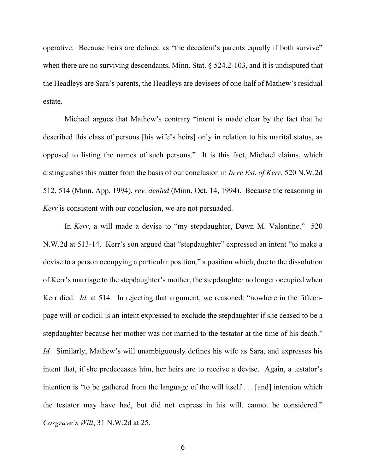operative. Because heirs are defined as "the decedent's parents equally if both survive" when there are no surviving descendants, Minn. Stat. § 524.2-103, and it is undisputed that the Headleys are Sara's parents, the Headleys are devisees of one-half of Mathew's residual estate.

Michael argues that Mathew's contrary "intent is made clear by the fact that he described this class of persons [his wife's heirs] only in relation to his marital status, as opposed to listing the names of such persons." It is this fact, Michael claims, which distinguishes this matter from the basis of our conclusion in *In re Est. of Kerr*, 520 N.W.2d 512, 514 (Minn. App. 1994), *rev. denied* (Minn. Oct. 14, 1994). Because the reasoning in *Kerr* is consistent with our conclusion, we are not persuaded.

In *Kerr*, a will made a devise to "my stepdaughter, Dawn M. Valentine." 520 N.W.2d at 513-14. Kerr's son argued that "stepdaughter" expressed an intent "to make a devise to a person occupying a particular position," a position which, due to the dissolution of Kerr's marriage to the stepdaughter's mother, the stepdaughter no longer occupied when Kerr died. *Id.* at 514. In rejecting that argument, we reasoned: "nowhere in the fifteenpage will or codicil is an intent expressed to exclude the stepdaughter if she ceased to be a stepdaughter because her mother was not married to the testator at the time of his death." *Id.* Similarly, Mathew's will unambiguously defines his wife as Sara, and expresses his intent that, if she predeceases him, her heirs are to receive a devise. Again, a testator's intention is "to be gathered from the language of the will itself . . . [and] intention which the testator may have had, but did not express in his will, cannot be considered." *Cosgrave's Will*, 31 N.W.2d at 25.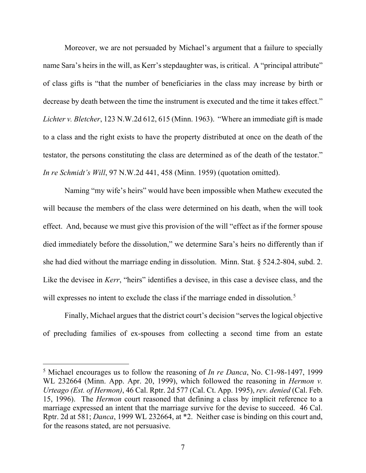Moreover, we are not persuaded by Michael's argument that a failure to specially name Sara's heirs in the will, as Kerr's stepdaughter was, is critical. A "principal attribute" of class gifts is "that the number of beneficiaries in the class may increase by birth or decrease by death between the time the instrument is executed and the time it takes effect." *Lichter v. Bletcher*, 123 N.W.2d 612, 615 (Minn. 1963). "Where an immediate gift is made to a class and the right exists to have the property distributed at once on the death of the testator, the persons constituting the class are determined as of the death of the testator." *In re Schmidt's Will*, 97 N.W.2d 441, 458 (Minn. 1959) (quotation omitted).

Naming "my wife's heirs" would have been impossible when Mathew executed the will because the members of the class were determined on his death, when the will took effect. And, because we must give this provision of the will "effect as if the former spouse died immediately before the dissolution," we determine Sara's heirs no differently than if she had died without the marriage ending in dissolution. Minn. Stat. § 524.2-804, subd. 2. Like the devisee in *Kerr*, "heirs" identifies a devisee, in this case a devisee class, and the will expresses no intent to exclude the class if the marriage ended in dissolution.<sup>[5](#page-6-0)</sup>

Finally, Michael argues that the district court's decision "serves the logical objective of precluding families of ex-spouses from collecting a second time from an estate

<span id="page-6-0"></span><sup>5</sup> Michael encourages us to follow the reasoning of *In re Danca*, No. C1-98-1497, 1999 WL 232664 (Minn. App. Apr. 20, 1999), which followed the reasoning in *Hermon v. Urteago (Est. of Hermon)*, 46 Cal. Rptr. 2d 577 (Cal. Ct. App. 1995), *rev. denied* (Cal. Feb. 15, 1996). The *Hermon* court reasoned that defining a class by implicit reference to a marriage expressed an intent that the marriage survive for the devise to succeed. 46 Cal. Rptr. 2d at 581; *Danca*, 1999 WL 232664, at \*2. Neither case is binding on this court and, for the reasons stated, are not persuasive.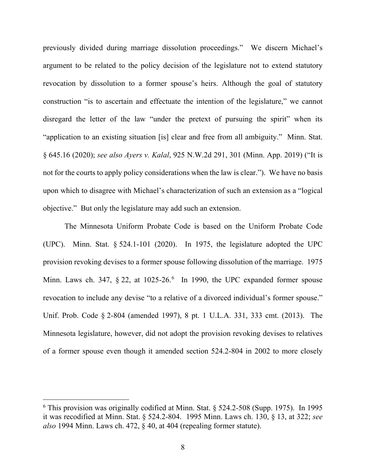previously divided during marriage dissolution proceedings." We discern Michael's argument to be related to the policy decision of the legislature not to extend statutory revocation by dissolution to a former spouse's heirs. Although the goal of statutory construction "is to ascertain and effectuate the intention of the legislature," we cannot disregard the letter of the law "under the pretext of pursuing the spirit" when its "application to an existing situation [is] clear and free from all ambiguity." Minn. Stat. § 645.16 (2020); *see also Ayers v. Kalal*, 925 N.W.2d 291, 301 (Minn. App. 2019) ("It is not for the courts to apply policy considerations when the law is clear."). We have no basis upon which to disagree with Michael's characterization of such an extension as a "logical objective." But only the legislature may add such an extension.

The Minnesota Uniform Probate Code is based on the Uniform Probate Code (UPC). Minn. Stat. § 524.1-101 (2020). In 1975, the legislature adopted the UPC provision revoking devises to a former spouse following dissolution of the marriage. 1975 Minn. Laws ch. 347,  $\S 22$ , at 1025-2[6](#page-7-0).<sup>6</sup> In 1990, the UPC expanded former spouse revocation to include any devise "to a relative of a divorced individual's former spouse." Unif. Prob. Code § 2-804 (amended 1997), 8 pt. 1 U.L.A. 331, 333 cmt. (2013). The Minnesota legislature, however, did not adopt the provision revoking devises to relatives of a former spouse even though it amended section 524.2-804 in 2002 to more closely

<span id="page-7-0"></span> $6$  This provision was originally codified at Minn. Stat.  $\delta$  524.2-508 (Supp. 1975). In 1995 it was recodified at Minn. Stat. § 524.2-804. 1995 Minn. Laws ch. 130, § 13, at 322; *see also* 1994 Minn. Laws ch. 472, § 40, at 404 (repealing former statute).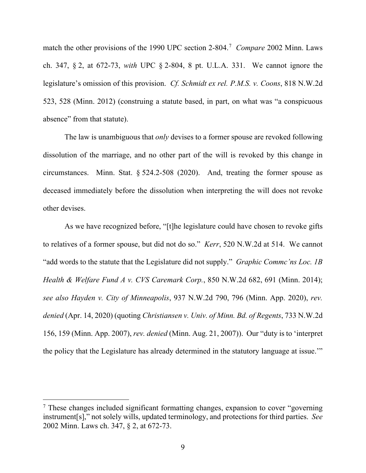match the other provisions of the 1990 UPC section 2-804. [7](#page-8-0) *Compare* 2002 Minn. Laws ch. 347, § 2, at 672-73, *with* UPC § 2-804, 8 pt. U.L.A. 331. We cannot ignore the legislature's omission of this provision. *Cf. Schmidt ex rel. P.M.S. v. Coons*, 818 N.W.2d 523, 528 (Minn. 2012) (construing a statute based, in part, on what was "a conspicuous absence" from that statute).

The law is unambiguous that *only* devises to a former spouse are revoked following dissolution of the marriage, and no other part of the will is revoked by this change in circumstances. Minn. Stat. § 524.2-508 (2020). And, treating the former spouse as deceased immediately before the dissolution when interpreting the will does not revoke other devises.

As we have recognized before, "[t]he legislature could have chosen to revoke gifts to relatives of a former spouse, but did not do so." *Kerr*, 520 N.W.2d at 514. We cannot "add words to the statute that the Legislature did not supply." *Graphic Commc'ns Loc. 1B Health & Welfare Fund A v. CVS Caremark Corp.*, 850 N.W.2d 682, 691 (Minn. 2014); *see also Hayden v. City of Minneapolis*, 937 N.W.2d 790, 796 (Minn. App. 2020), *rev. denied* (Apr. 14, 2020) (quoting *Christiansen v. Univ. of Minn. Bd. of Regents*, 733 N.W.2d 156, 159 (Minn. App. 2007), *rev. denied* (Minn. Aug. 21, 2007)). Our "duty is to 'interpret the policy that the Legislature has already determined in the statutory language at issue.'"

<span id="page-8-0"></span><sup>7</sup> These changes included significant formatting changes, expansion to cover "governing instrument[s]," not solely wills, updated terminology, and protections for third parties. *See* 2002 Minn. Laws ch. 347, § 2, at 672-73.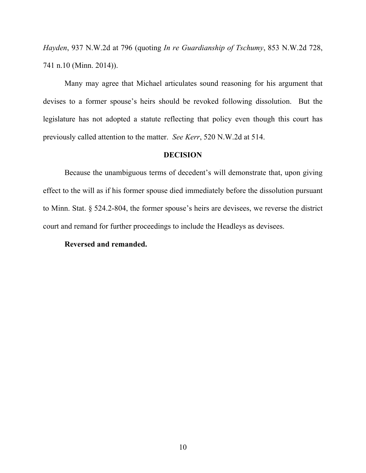*Hayden*, 937 N.W.2d at 796 (quoting *In re Guardianship of Tschumy*, 853 N.W.2d 728, 741 n.10 (Minn. 2014)).

Many may agree that Michael articulates sound reasoning for his argument that devises to a former spouse's heirs should be revoked following dissolution. But the legislature has not adopted a statute reflecting that policy even though this court has previously called attention to the matter. *See Kerr*, 520 N.W.2d at 514.

# **DECISION**

Because the unambiguous terms of decedent's will demonstrate that, upon giving effect to the will as if his former spouse died immediately before the dissolution pursuant to Minn. Stat. § 524.2-804, the former spouse's heirs are devisees, we reverse the district court and remand for further proceedings to include the Headleys as devisees.

# **Reversed and remanded.**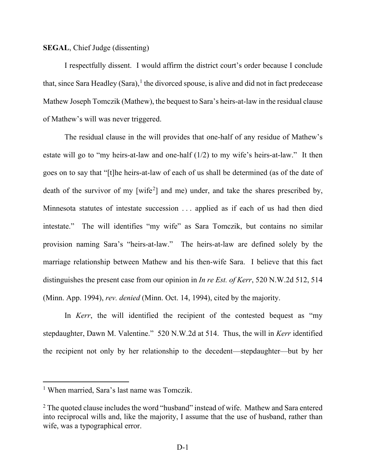# **SEGAL**, Chief Judge (dissenting)

I respectfully dissent. I would affirm the district court's order because I conclude that, since Sara Headley (Sara),<sup>[1](#page-10-0)</sup> the divorced spouse, is alive and did not in fact predecease Mathew Joseph Tomczik (Mathew), the bequest to Sara's heirs-at-law in the residual clause of Mathew's will was never triggered.

The residual clause in the will provides that one-half of any residue of Mathew's estate will go to "my heirs-at-law and one-half (1/2) to my wife's heirs-at-law." It then goes on to say that "[t]he heirs-at-law of each of us shall be determined (as of the date of death of the survivor of my [wife<sup>[2](#page-10-1)</sup>] and me) under, and take the shares prescribed by, Minnesota statutes of intestate succession . . . applied as if each of us had then died intestate." The will identifies "my wife" as Sara Tomczik, but contains no similar provision naming Sara's "heirs-at-law." The heirs-at-law are defined solely by the marriage relationship between Mathew and his then-wife Sara. I believe that this fact distinguishes the present case from our opinion in *In re Est. of Kerr*, 520 N.W.2d 512, 514 (Minn. App. 1994), *rev. denied* (Minn. Oct. 14, 1994), cited by the majority.

In *Kerr*, the will identified the recipient of the contested bequest as "my stepdaughter, Dawn M. Valentine." 520 N.W.2d at 514. Thus, the will in *Kerr* identified the recipient not only by her relationship to the decedent—stepdaughter—but by her

<span id="page-10-0"></span><sup>1</sup> When married, Sara's last name was Tomczik.

<span id="page-10-1"></span> $2$  The quoted clause includes the word "husband" instead of wife. Mathew and Sara entered into reciprocal wills and, like the majority, I assume that the use of husband, rather than wife, was a typographical error.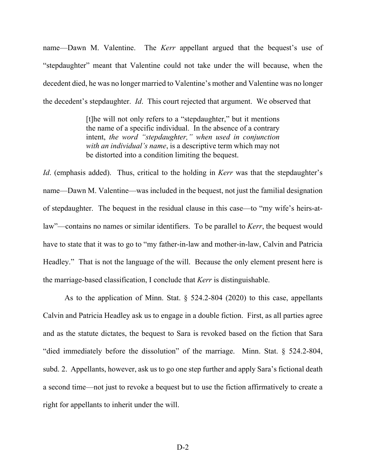name—Dawn M. Valentine. The *Kerr* appellant argued that the bequest's use of "stepdaughter" meant that Valentine could not take under the will because, when the decedent died, he was no longer married to Valentine's mother and Valentine was no longer the decedent's stepdaughter. *Id*. This court rejected that argument. We observed that

> [t]he will not only refers to a "stepdaughter," but it mentions the name of a specific individual. In the absence of a contrary intent, *the word "stepdaughter," when used in conjunction with an individual's name*, is a descriptive term which may not be distorted into a condition limiting the bequest.

*Id*. (emphasis added). Thus, critical to the holding in *Kerr* was that the stepdaughter's name—Dawn M. Valentine—was included in the bequest, not just the familial designation of stepdaughter. The bequest in the residual clause in this case—to "my wife's heirs-atlaw"—contains no names or similar identifiers. To be parallel to *Kerr*, the bequest would have to state that it was to go to "my father-in-law and mother-in-law, Calvin and Patricia Headley." That is not the language of the will. Because the only element present here is the marriage-based classification, I conclude that *Kerr* is distinguishable.

As to the application of Minn. Stat. § 524.2-804 (2020) to this case, appellants Calvin and Patricia Headley ask us to engage in a double fiction. First, as all parties agree and as the statute dictates, the bequest to Sara is revoked based on the fiction that Sara "died immediately before the dissolution" of the marriage. Minn. Stat. § 524.2-804, subd. 2. Appellants, however, ask us to go one step further and apply Sara's fictional death a second time—not just to revoke a bequest but to use the fiction affirmatively to create a right for appellants to inherit under the will.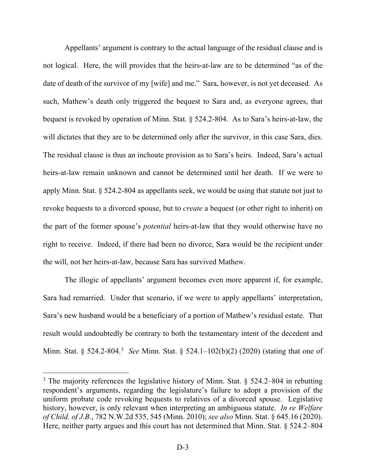Appellants' argument is contrary to the actual language of the residual clause and is not logical. Here, the will provides that the heirs-at-law are to be determined "as of the date of death of the survivor of my [wife] and me." Sara, however, is not yet deceased. As such, Mathew's death only triggered the bequest to Sara and, as everyone agrees, that bequest is revoked by operation of Minn. Stat. § 524.2-804. As to Sara's heirs-at-law, the will dictates that they are to be determined only after the survivor, in this case Sara, dies. The residual clause is thus an inchoate provision as to Sara's heirs. Indeed, Sara's actual heirs-at-law remain unknown and cannot be determined until her death. If we were to apply Minn. Stat. § 524.2-804 as appellants seek, we would be using that statute not just to revoke bequests to a divorced spouse, but to *create* a bequest (or other right to inherit) on the part of the former spouse's *potential* heirs-at-law that they would otherwise have no right to receive. Indeed, if there had been no divorce, Sara would be the recipient under the will, not her heirs-at-law, because Sara has survived Mathew.

The illogic of appellants' argument becomes even more apparent if, for example, Sara had remarried. Under that scenario, if we were to apply appellants' interpretation, Sara's new husband would be a beneficiary of a portion of Mathew's residual estate. That result would undoubtedly be contrary to both the testamentary intent of the decedent and Minn. Stat. § 524.2-804.[3](#page-12-0) *See* Minn. Stat. § 524.1–102(b)(2) (2020) (stating that one of

<span id="page-12-0"></span> $3$  The majority references the legislative history of Minn. Stat. § 524.2–804 in rebutting respondent's arguments, regarding the legislature's failure to adopt a provision of the uniform probate code revoking bequests to relatives of a divorced spouse. Legislative history, however, is only relevant when interpreting an ambiguous statute. *In re Welfare of Child. of J.B.*, 782 N.W.2d 535, 545 (Minn. 2010); *see also* Minn. Stat. § 645.16 (2020). Here, neither party argues and this court has not determined that Minn. Stat. § 524.2–804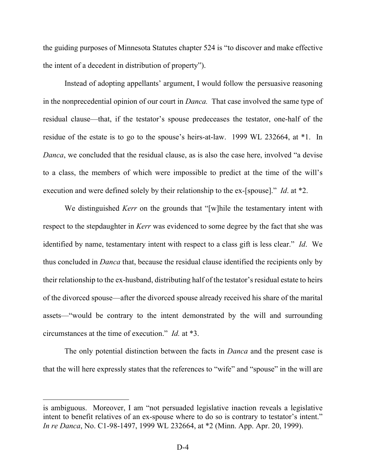the guiding purposes of Minnesota Statutes chapter 524 is "to discover and make effective the intent of a decedent in distribution of property").

Instead of adopting appellants' argument, I would follow the persuasive reasoning in the nonprecedential opinion of our court in *Danca.* That case involved the same type of residual clause—that, if the testator's spouse predeceases the testator, one-half of the residue of the estate is to go to the spouse's heirs-at-law. 1999 WL 232664, at \*1. In *Danca*, we concluded that the residual clause, as is also the case here, involved "a devise to a class, the members of which were impossible to predict at the time of the will's execution and were defined solely by their relationship to the ex-[spouse]." *Id*. at \*2.

We distinguished *Kerr* on the grounds that "[w]hile the testamentary intent with respect to the stepdaughter in *Kerr* was evidenced to some degree by the fact that she was identified by name, testamentary intent with respect to a class gift is less clear." *Id*. We thus concluded in *Danca* that, because the residual clause identified the recipients only by their relationship to the ex-husband, distributing half of the testator's residual estate to heirs of the divorced spouse—after the divorced spouse already received his share of the marital assets—"would be contrary to the intent demonstrated by the will and surrounding circumstances at the time of execution." *Id.* at \*3.

The only potential distinction between the facts in *Danca* and the present case is that the will here expressly states that the references to "wife" and "spouse" in the will are

is ambiguous. Moreover, I am "not persuaded legislative inaction reveals a legislative intent to benefit relatives of an ex-spouse where to do so is contrary to testator's intent." *In re Danca*, No. C1-98-1497, 1999 WL 232664, at \*2 (Minn. App. Apr. 20, 1999).